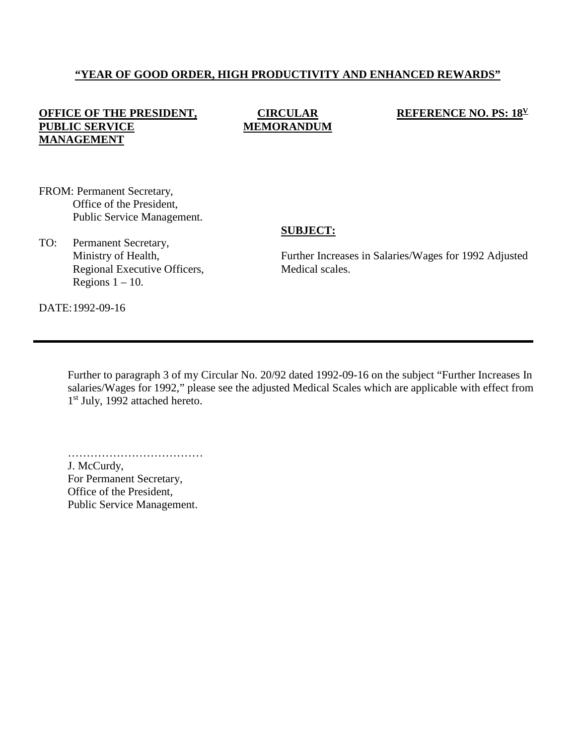# **"YEAR OF GOOD ORDER, HIGH PRODUCTIVITY AND ENHANCED REWARDS"**

# **OFFICE OF THE PRESIDENT, PUBLIC SERVICE MANAGEMENT**

### **CIRCULAR MEMORANDUM**

#### **REFERENCE NO. PS: 18V**

FROM: Permanent Secretary, Office of the President, Public Service Management.

#### **SUBJECT:**

TO: Permanent Secretary, Ministry of Health, Regional Executive Officers, Regions  $1 - 10$ .

Further Increases in Salaries/Wages for 1992 Adjusted Medical scales.

DATE:1992-09-16

Further to paragraph 3 of my Circular No. 20/92 dated 1992-09-16 on the subject "Further Increases In salaries/Wages for 1992," please see the adjusted Medical Scales which are applicable with effect from 1<sup>st</sup> July, 1992 attached hereto.

………………………………………… J. McCurdy, For Permanent Secretary, Office of the President,

Public Service Management.